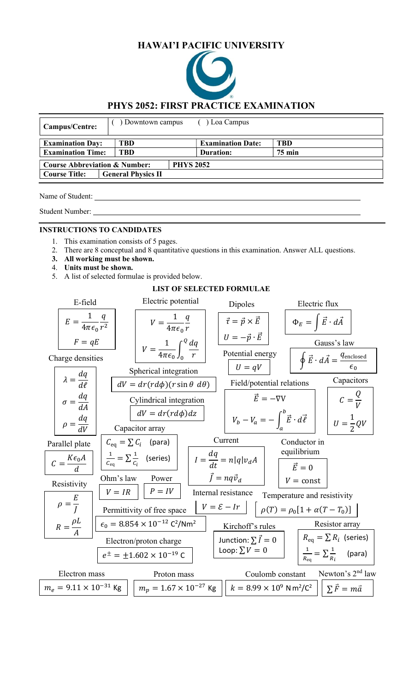# HAWAI'I PACIFIC UNIVERSITY



## PHYS 2052: FIRST PRACTICE EXAMINATION

| Campus/Centre:                                               | Downtown campus           | Loa Campus               |               |  |
|--------------------------------------------------------------|---------------------------|--------------------------|---------------|--|
| <b>Examination Day:</b>                                      | TBD                       | <b>Examination Date:</b> | <b>TBD</b>    |  |
| <b>Examination Time:</b>                                     | <b>TBD</b>                | Duration:                | <b>75 min</b> |  |
| <b>PHYS 2052</b><br><b>Course Abbreviation &amp; Number:</b> |                           |                          |               |  |
| <b>Course Title:</b>                                         | <b>General Physics II</b> |                          |               |  |

Name of Student:

Student Number:

#### INSTRUCTIONS TO CANDIDATES

- 1. This examination consists of 5 pages.
- 2. There are 8 conceptual and 8 quantitative questions in this examination. Answer ALL questions.
- 3. All working must be shown.
- 4. Units must be shown.
- 5. A list of selected formulae is provided below.

#### LIST OF SELECTED FORMULAE

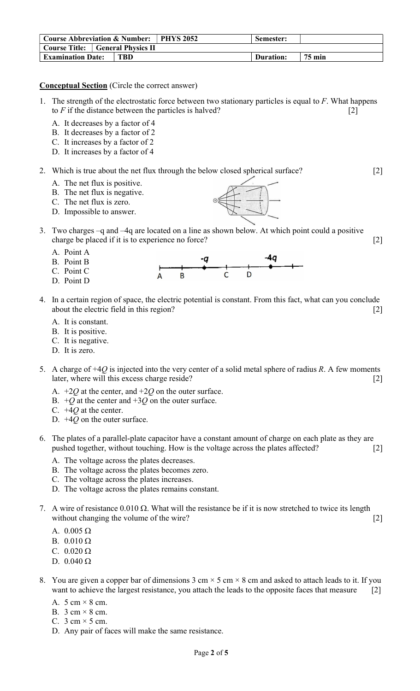| <b>Course Abbreviation &amp; Number:   PHYS 2052</b> | Semester: |               |
|------------------------------------------------------|-----------|---------------|
| Course Title: General Physics II                     |           |               |
| <b>Examination Date:</b><br>TBD                      | Duration: | <b>75 min</b> |

#### Conceptual Section (Circle the correct answer)

- 1. The strength of the electrostatic force between two stationary particles is equal to  $F$ . What happens to  $F$  if the distance between the particles is halved?  $[2]$ 
	- A. It decreases by a factor of 4
	- B. It decreases by a factor of 2
	- C. It increases by a factor of 2
	- D. It increases by a factor of 4

## 2. Which is true about the net flux through the below closed spherical surface? [2]

- A. The net flux is positive.
- B. The net flux is negative.
- C. The net flux is zero.
- D. Impossible to answer.



- A. Point A
- B. Point B C. Point C

D. Point D

- $\begin{array}{c} \n\begin{array}{ccc}\n & -q \\
\hline\n\end{array} \\
B & C\n\end{array}$
- 4. In a certain region of space, the electric potential is constant. From this fact, what can you conclude about the electric field in this region? [2]
	- A. It is constant.
	- B. It is positive.
	- C. It is negative.
	- D. It is zero.
- 5. A charge of  $+40$  is injected into the very center of a solid metal sphere of radius R. A few moments later, where will this excess charge reside? [2]
	- A.  $+2Q$  at the center, and  $+2Q$  on the outer surface.
	- B.  $+Q$  at the center and  $+3Q$  on the outer surface.
	- C.  $+4Q$  at the center.
	- D.  $+4Q$  on the outer surface.
- 6. The plates of a parallel-plate capacitor have a constant amount of charge on each plate as they are pushed together, without touching. How is the voltage across the plates affected? [2]
	- A. The voltage across the plates decreases.
	- B. The voltage across the plates becomes zero.
	- C. The voltage across the plates increases.
	- D. The voltage across the plates remains constant.
- 7. A wire of resistance  $0.010 \Omega$ . What will the resistance be if it is now stretched to twice its length without changing the volume of the wire? [2]
	- A.  $0.005 \Omega$
	- B.  $0.010 \Omega$
	- C.  $0.020 \Omega$
	- D.  $0.040 \Omega$
- 8. You are given a copper bar of dimensions 3 cm  $\times$  5 cm  $\times$  8 cm and asked to attach leads to it. If you want to achieve the largest resistance, you attach the leads to the opposite faces that measure [2]
	- A.  $5 \text{ cm} \times 8 \text{ cm}$ .
	- B.  $3 \text{ cm} \times 8 \text{ cm}$ .
	- C.  $3 \text{ cm} \times 5 \text{ cm}$ .
	- D. Any pair of faces will make the same resistance.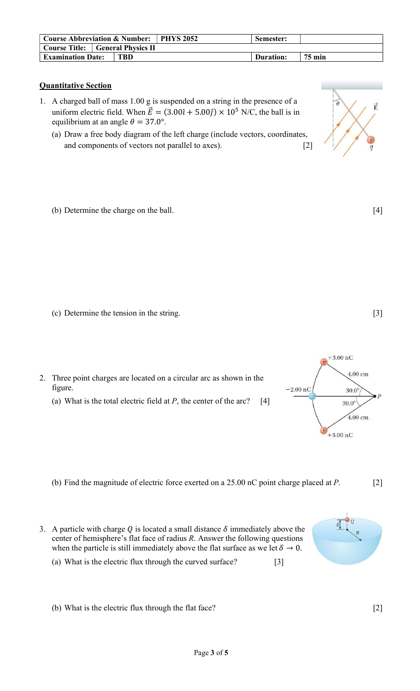| <b>Course Abbreviation &amp; Number:   PHYS 2052</b> |            | Semester: |               |
|------------------------------------------------------|------------|-----------|---------------|
| <b>Course Title:</b> General Physics II              |            |           |               |
| <b>Examination Date:</b>                             | <b>TBD</b> | Duration: | <b>75 min</b> |

## Quantitative Section

- 1. A charged ball of mass 1.00 g is suspended on a string in the presence of a uniform electric field. When  $\vec{E} = (3.00\hat{i} + 5.00\hat{j}) \times 10^5$  N/C, the ball is in equilibrium at an angle  $\theta = 37.0^{\circ}$ .
	- (a) Draw a free body diagram of the left charge (include vectors, coordinates, and components of vectors not parallel to axes). [2]
	- (b) Determine the charge on the ball. [4]

- (c) Determine the tension in the string. [3]
- 2. Three point charges are located on a circular arc as shown in the figure.
	- (a) What is the total electric field at  $P$ , the center of the arc? [4]

- (b) Find the magnitude of electric force exerted on a 25.00 nC point charge placed at P. [2]
- 3. A particle with charge  $Q$  is located a small distance  $\delta$  immediately above the center of hemisphere's flat face of radius  $R$ . Answer the following questions when the particle is still immediately above the flat surface as we let  $\delta \to 0$ .
	- (a) What is the electric flux through the curved surface? [3]







<sup>(</sup>b) What is the electric flux through the flat face? [2]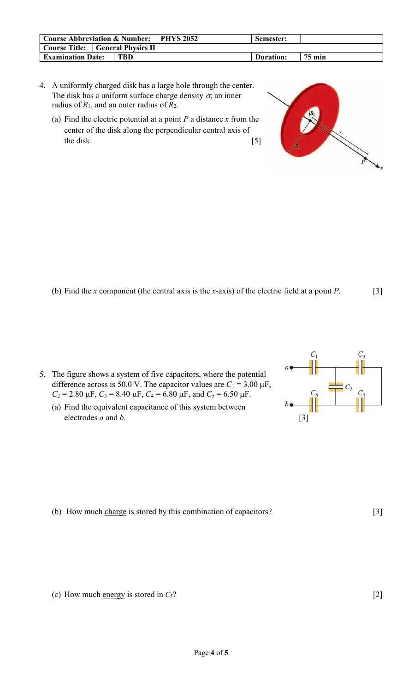| Course Abbreviation & Number: PHYS 2052 |            | Semester: |               |
|-----------------------------------------|------------|-----------|---------------|
| <b>Course Title:</b> General Physics II |            |           |               |
| <b>Examination Date:</b>                | <b>TBD</b> | Duration: | <b>75 min</b> |

- 4. A uniformly charged disk has a large hole through the center. The disk has a uniform surface charge density  $\sigma$ , an inner radius of  $R_1$ , and an outer radius of  $R_2$ .
	- (a) Find the electric potential at a point  $P$  a distance  $x$  from the center of the disk along the perpendicular central axis of the disk. [5]

(b) Find the x component (the central axis is the x-axis) of the electric field at a point  $P$ . [3]

- 5. The figure shows a system of five capacitors, where the potential difference across is 50.0 V. The capacitor values are  $C_1 = 3.00 \mu F$ ,  $C_2 = 2.80 \text{ }\mu\text{F}, C_3 = 8.40 \text{ }\mu\text{F}, C_4 = 6.80 \text{ }\mu\text{F}, \text{ and } C_5 = 6.50 \text{ }\mu\text{F}.$ 
	- (a) Find the equivalent capacitance of this system between electrodes  $a$  and  $b$ . [3]

(b) How much charge is stored by this combination of capacitors? [3]